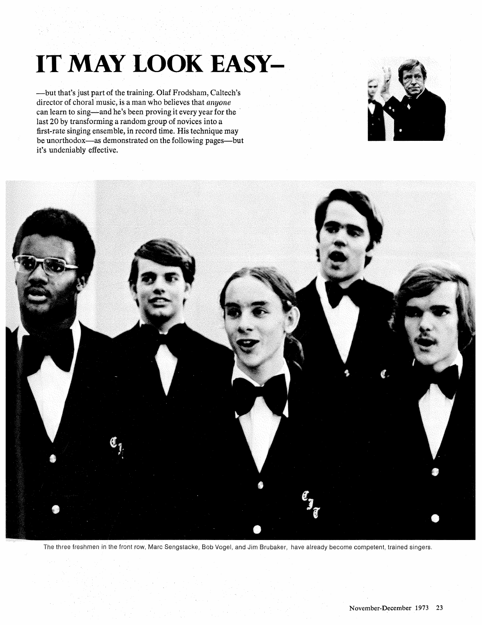## **IT MAY LOOK EASY-**

-but that's just part of the training. Olaf Frodsham, Caltech's director of choral music, is a man who believes that anyone can learn to sing—and he's been proving it every year for the last 20 by transforming a random group of novices into a first-rate singing ensemble, in record time. His technique may be unorthodox—as demonstrated on the following pages—but it's undeniably effective.





The three freshmen in the front row, Marc Sengstacke, Bob Vogel, and Jim Brubaker, have already become competent, trained singers.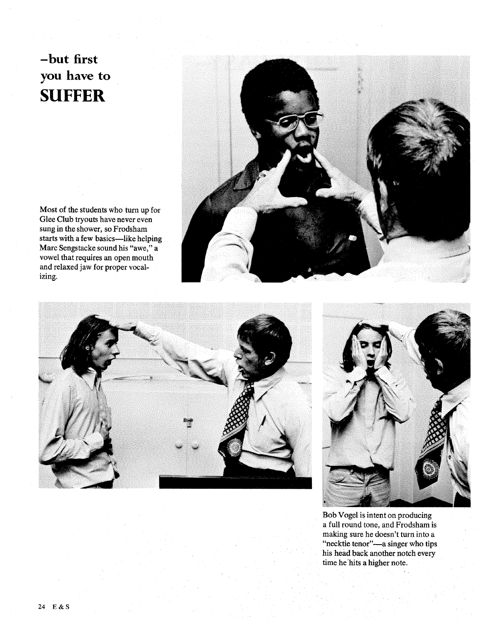## **-but first you have to SUFFER**

Most of the students who turn up for Glee Club tryouts have never even sung in the shower, so Frodsham starts with a few basics-like helping Marc Sengstacke sound his "awe," a vowel that requires an open mouth and relaxed jaw for proper vocalizing.







Bob Vogel is intent on producing a full round tone, and Frodsham is making sure he doesn't turn into a "necktie tenor"-a singer who tips his head back another notch every time he'hits a higher note.